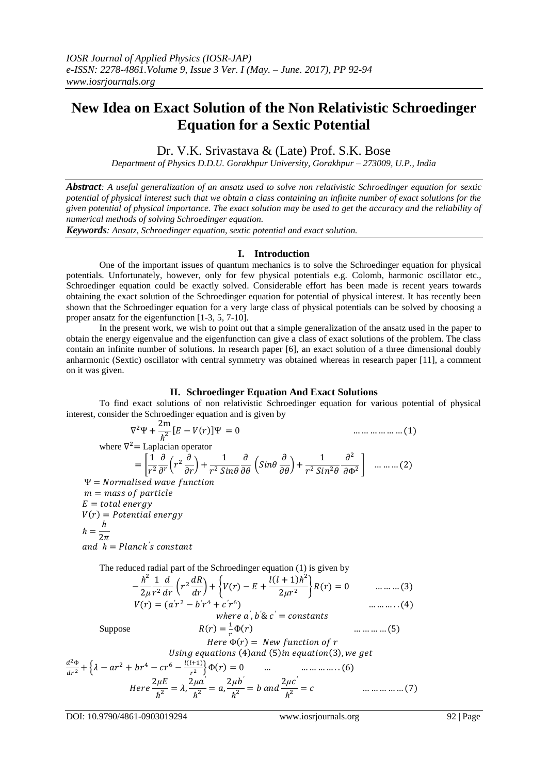# **New Idea on Exact Solution of the Non Relativistic Schroedinger Equation for a Sextic Potential**

Dr. V.K. Srivastava & (Late) Prof. S.K. Bose

*Department of Physics D.D.U. Gorakhpur University, Gorakhpur – 273009, U.P., India*

*Abstract: A useful generalization of an ansatz used to solve non relativistic Schroedinger equation for sextic potential of physical interest such that we obtain a class containing an infinite number of exact solutions for the given potential of physical importance. The exact solution may be used to get the accuracy and the reliability of numerical methods of solving Schroedinger equation.* 

*Keywords: Ansatz, Schroedinger equation, sextic potential and exact solution.* 

## **I. Introduction**

One of the important issues of quantum mechanics is to solve the Schroedinger equation for physical potentials. Unfortunately, however, only for few physical potentials e.g. Colomb, harmonic oscillator etc., Schroedinger equation could be exactly solved. Considerable effort has been made is recent years towards obtaining the exact solution of the Schroedinger equation for potential of physical interest. It has recently been shown that the Schroedinger equation for a very large class of physical potentials can be solved by choosing a proper ansatz for the eigenfunction [1-3, 5, 7-10].

In the present work, we wish to point out that a simple generalization of the ansatz used in the paper to obtain the energy eigenvalue and the eigenfunction can give a class of exact solutions of the problem. The class contain an infinite number of solutions. In research paper [6], an exact solution of a three dimensional doubly anharmonic (Sextic) oscillator with central symmetry was obtained whereas in research paper [11], a comment on it was given.

# **II. Schroedinger Equation And Exact Solutions**

To find exact solutions of non relativistic Schroedinger equation for various potential of physical interest, consider the Schroedinger equation and is given by  $2<sub>m</sub>$ 

  where Laplacian operator  

The reduced radial part of the Schroedinger equation (1) is given by

$$
-\frac{\hbar^2}{2\mu} \frac{1}{r^2} \frac{d}{dr} \left(r^2 \frac{dR}{dr}\right) + \left\{V(r) - E + \frac{l(l+1)\hbar^2}{2\mu r^2}\right\} R(r) = 0 \qquad \dots \dots \dots (3)
$$
  

$$
V(r) = (a'r^2 - b'r^4 + c'r^6) \qquad \dots \dots \dots (4)
$$

Suppose

where 
$$
a', b' \& c' =
$$
 constants  
=  $\frac{1}{r} \Phi(r)$ 

Here  $\Phi(r)$  = New function of r  $llsin\alpha$  equations  $(4)$  and  $(5)$  in equation  $(3)$  we get

 $\mathbf{1}$ 

$$
\frac{d^2\Phi}{dr^2} + \left\{\lambda - ar^2 + br^4 - cr^6 - \frac{l(l+1)}{r^2}\right\}\Phi(r) = 0 \qquad \dots \qquad \dots \dots \dots \dots \dots (6)
$$
  
Here  $\frac{2\mu E}{\hbar^2} = \lambda$ ,  $\frac{2\mu a'}{\hbar^2} = a$ ,  $\frac{2\mu b'}{\hbar^2} = b$  and  $\frac{2\mu c'}{\hbar^2} = c$  \qquad \dots \dots \dots \dots \dots (7)

 $\dots \dots \dots \dots (5)$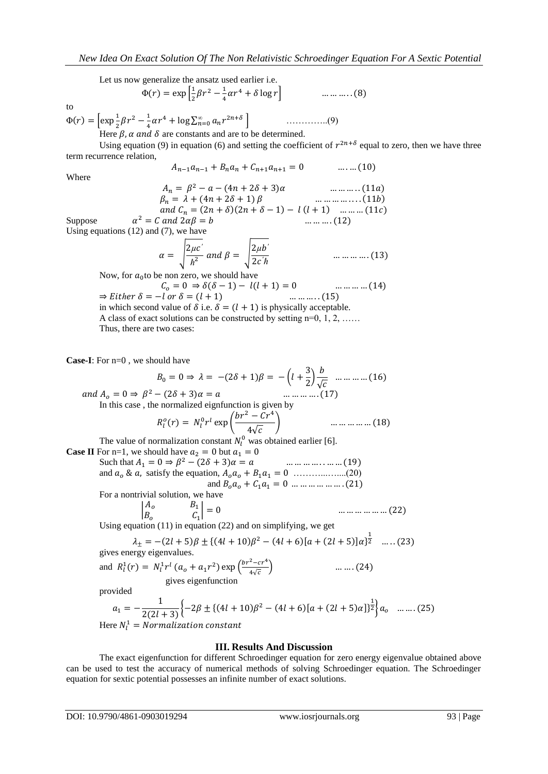Let us now generalize the ansatz used earlier i.e.

$$
\Phi(r) = \exp\left[\frac{1}{2}\beta r^2 - \frac{1}{4}\alpha r^4 + \delta \log r\right] \qquad \qquad \dots \dots \dots \dots (8)
$$

to

 $\Phi(r) = \left[\exp{\frac{1}{2}}\right]$  $\frac{1}{2}\beta r^2 - \frac{1}{4}$  $\frac{1}{4} \alpha r^4 + \log \sum_{n=1}^{\infty}$  …………..(9) Here  $\beta$ ,  $\alpha$  and  $\delta$  are constants and are to be determined.

Using equation (9) in equation (6) and setting the coefficient of  $r^{2n+\delta}$  equal to zero, then we have three term recurrence relation,

$$
A_{n-1}a_{n-1} + B_n a_n + C_{n+1}a_{n+1} = 0 \qquad \qquad \dots \dots (10)
$$

Where

$$
A_n = \beta^2 - a - (4n + 2\delta + 3)\alpha \qquad \qquad \dots \dots \dots (11a)
$$
  
\n
$$
\beta_n = \lambda + (4n + 2\delta + 1) \beta \qquad \qquad \dots \dots \dots \dots (11b)
$$
  
\nand  $C_n = (2n + \delta)(2n + \delta - 1) - l(l + 1) \qquad \dots \dots (11c)$   
\nand  $2\alpha\beta = b \qquad \qquad \dots \dots \dots (12)$ 

Suppose  $\alpha^2 = C$  and  $2\alpha\beta = b$ Using equations  $(12)$  and  $(7)$ , we have

$$
\alpha = \sqrt{\frac{2\mu c'}{\hbar^2}} \text{ and } \beta = \sqrt{\frac{2\mu b'}{2c'h}} \qquad \qquad \dots \dots \dots \dots \dots (13)
$$

Now, for  $a_0$  to be non zero, we should have  $C_o = 0 \Rightarrow \delta(\delta - 1) - l(l + 1) = 0$  $\dots \dots \dots \dots (14)$  $\Rightarrow$  Either  $\delta = -l$  or  $\delta = (l + 1)$  $\dots\dots\dots(15)$ in which second value of  $\delta$  i.e.  $\delta = (l + 1)$  is physically acceptable. A class of exact solutions can be constructed by setting n=0, 1, 2, …… Thus, there are two cases:

**Case-I**: For n=0 , we should have

$$
B_0 = 0 \Rightarrow \lambda = -(2\delta + 1)\beta = -\left(l + \frac{3}{2}\right)\frac{b}{\sqrt{c}} \dots \dots \dots \dots (16)
$$

 $\dots \dots \dots (17)$ and  $A_o = 0 \Rightarrow \beta^2$ In this case , the normalized eignfunction is given by

$$
R_l^o(r) = N_l^0 r^l \exp\left(\frac{br^2 - Cr^4}{4\sqrt{c}}\right) \qquad \dots \dots \dots \dots \dots \dots (18)
$$

The value of normalization constant  $N_l^0$  was obtained earlier [6]. **Case II** For n=1, we should have  $a_2 = 0$  but  $a_1 = 0$ 

Such that  $A_1 = 0 \Rightarrow \beta^2$  $\dots \dots \dots \dots \dots \dots (19)$ and satisfy the equation, ………...…....(20) and  $B_0 a_0 + C_1 a_1 = 0$  ... ... ... ... ... (21)

For a nontrivial solution, we have

 $\int_B$  $A_o$ 

$$
\begin{vmatrix} B_1 \\ C_1 \end{vmatrix} = 0
$$
 .... ... .... ... (22)

Using equation (11) in equation (22) and on simplifying, we get

$$
\lambda_{\pm} = -(2l+5)\beta \pm \{(4l+10)\beta^2 - (4l+6)[a+(2l+5)]\alpha\}^{\frac{1}{2}} \quad .... \tag{23}
$$
 gives energy eigenvalues.

and  $R_l^1(r) = N_l^1 r^l (a_o + a_1 r^2) \exp \left( \frac{br^2 - cr^4}{r^2} \right)$  $\dots\dots(24)$  $\frac{-c}{4\sqrt{c}}$ gives eigenfunction

provided

$$
a_1 = -\frac{1}{2(2l+3)} \Big\{-2\beta \pm \{(4l+10)\beta^2 - (4l+6)[a+(2l+5)\alpha]\}^{\frac{1}{2}}\Big\} a_0 \quad \dots \dots \dots (25)
$$
  
Here  $N_l^1$  = Normalization constant

## **III. Results And Discussion**

The exact eigenfunction for different Schroedinger equation for zero energy eigenvalue obtained above can be used to test the accuracy of numerical methods of solving Schroedinger equation. The Schroedinger equation for sextic potential possesses an infinite number of exact solutions.